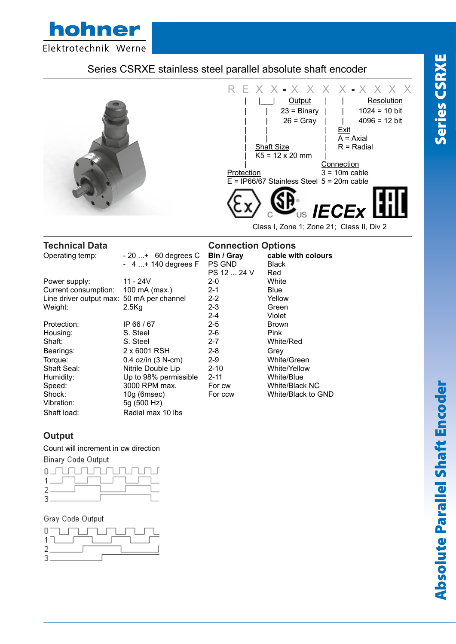

# Series CSRXE stainless steel parallel absolute shaft encoder



| Operating temp:                           | $-20$ + 60 degrees C   | Bin / Gray  | cable with colours |
|-------------------------------------------|------------------------|-------------|--------------------|
|                                           | $-4+140$ degrees F     | PS GND      | <b>Black</b>       |
|                                           |                        | PS 12  24 V | Red                |
| Power supply:                             | 11 - 24V               | $2 - 0$     | White              |
| Current consumption:                      | 100 mA (max.)          | $2 - 1$     | <b>Blue</b>        |
| Line driver output max: 50 mA per channel |                        | $2 - 2$     | Yellow             |
| Weight:                                   | $2.5$ Kg               | $2 - 3$     | Green              |
|                                           |                        | $2 - 4$     | Violet             |
| Protection:                               | IP 66 / 67             | $2 - 5$     | <b>Brown</b>       |
| Housing:                                  | S. Steel               | $2 - 6$     | <b>Pink</b>        |
| Shaft:                                    | S. Steel               | $2 - 7$     | White/Red          |
| Bearings:                                 | 2 x 6001 RSH           | $2 - 8$     | Grey               |
| Torque:                                   | $0.4$ oz/in $(3 N-cm)$ | $2-9$       | White/Green        |
| Shaft Seal:                               | Nitrile Double Lip     | $2 - 10$    | White/Yellow       |
| Humidity:                                 | Up to 98% permissible  | $2 - 11$    | White/Blue         |
| Speed:                                    | 3000 RPM max.          | For cw      | White/Black NC     |
| Shock:                                    | $10g$ (6msec)          | For ccw     | White/Black to GND |
| Vibration:                                | 5g (500 Hz)            |             |                    |
| Shaft load:                               | Radial max 10 lbs      |             |                    |

# **Output**

### Count will increment in cw direction

**Binary Code Output** 



### Gray Code Output



| nnection Options |                    |
|------------------|--------------------|
| / Gray           | cable with colours |
| GND              | Black              |
| 12  24 V         | Red                |
|                  | White              |
|                  | Blue               |
|                  | Yellow             |
|                  | Green              |
|                  | Violet             |
|                  | Brown              |
|                  | Pink               |
|                  | White/Red          |
|                  | Grev               |
|                  |                    |

| <b>Brown</b>   |
|----------------|
| Pink           |
| White/Red      |
| Grev           |
| White/Green    |
| White/Yellow   |
| White/Blue     |
| White/Black NC |
|                |

# **Technical Data Connection Options**